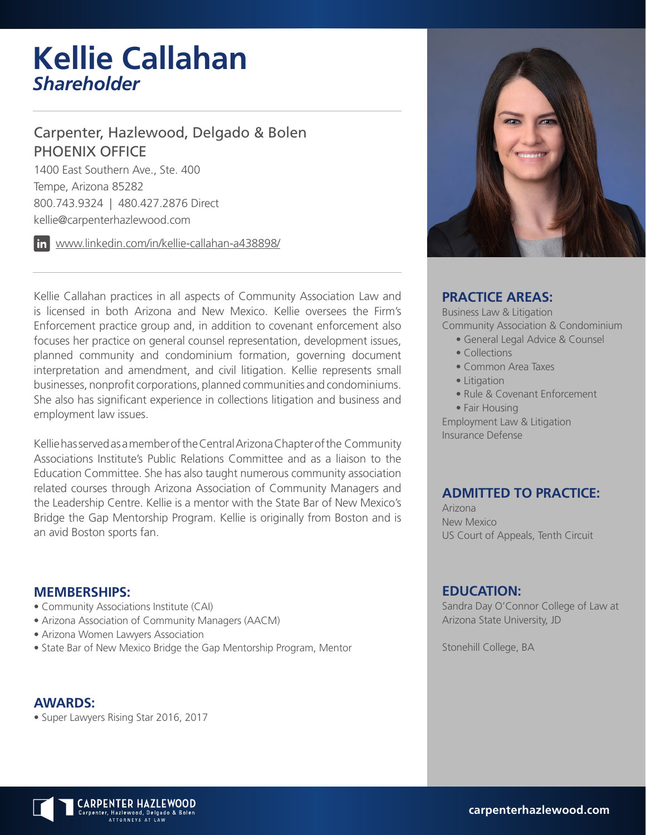# **Kellie Callahan** *Shareholder*

### Carpenter, Hazlewood, Delgado & Bolen PHOENIX OFFICE

1400 East Southern Ave., Ste. 400 Tempe, Arizona 85282 800.743.9324 | 480.427.2876 Direct kellie@carpenterhazlewood.com

www.linkedin.com/in/kellie-callahan-a438898/

Kellie Callahan practices in all aspects of Community Association Law and is licensed in both Arizona and New Mexico. Kellie oversees the Firm's Enforcement practice group and, in addition to covenant enforcement also focuses her practice on general counsel representation, development issues, planned community and condominium formation, governing document interpretation and amendment, and civil litigation. Kellie represents small businesses, nonprofit corporations, planned communities and condominiums. She also has significant experience in collections litigation and business and employment law issues.

Kellie has served as a member of the Central Arizona Chapter of the Community Associations Institute's Public Relations Committee and as a liaison to the Education Committee. She has also taught numerous community association related courses through Arizona Association of Community Managers and the Leadership Centre. Kellie is a mentor with the State Bar of New Mexico's Bridge the Gap Mentorship Program. Kellie is originally from Boston and is an avid Boston sports fan.

#### **MEMBERSHIPS:**

- Community Associations Institute (CAI)
- Arizona Association of Community Managers (AACM)
- Arizona Women Lawyers Association
- State Bar of New Mexico Bridge the Gap Mentorship Program, Mentor

**AWARDS:** • Super Lawyers Rising Star 2016, 2017



#### **PRACTICE AREAS:**

Business Law & Litigation

Community Association & Condominium

- General Legal Advice & Counsel
- Collections
- Common Area Taxes
- Litigation
- Rule & Covenant Enforcement
- Fair Housing

Employment Law & Litigation Insurance Defense

#### **ADMITTED TO PRACTICE:**

Arizona New Mexico US Court of Appeals, Tenth Circuit

#### **EDUCATION:**

Sandra Day O'Connor College of Law at Arizona State University, JD

Stonehill College, BA